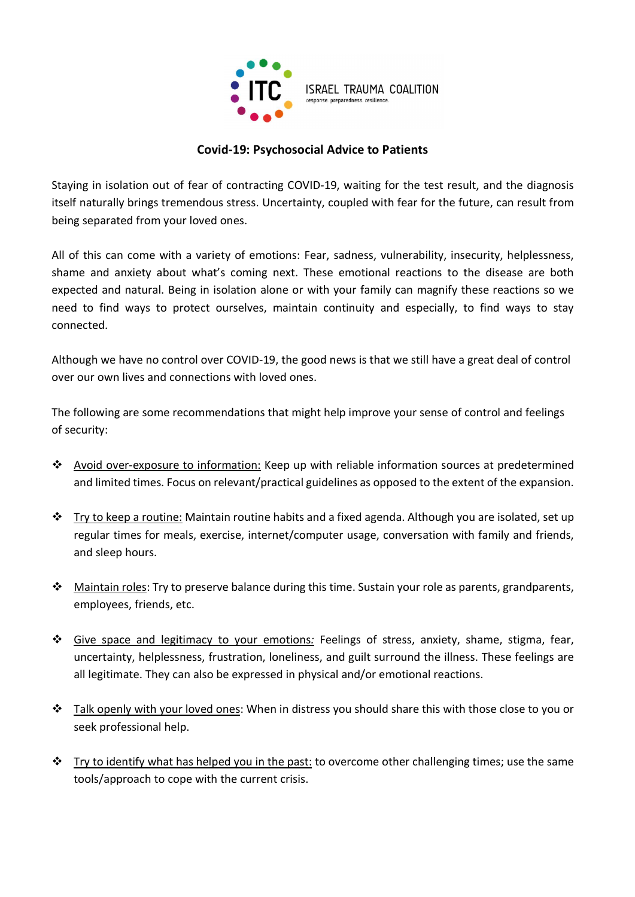

## Covid-19: Psychosocial Advice to Patients

Staying in isolation out of fear of contracting COVID-19, waiting for the test result, and the diagnosis itself naturally brings tremendous stress. Uncertainty, coupled with fear for the future, can result from being separated from your loved ones.

All of this can come with a variety of emotions: Fear, sadness, vulnerability, insecurity, helplessness, shame and anxiety about what's coming next. These emotional reactions to the disease are both expected and natural. Being in isolation alone or with your family can magnify these reactions so we need to find ways to protect ourselves, maintain continuity and especially, to find ways to stay connected.

Although we have no control over COVID-19, the good news is that we still have a great deal of control over our own lives and connections with loved ones.

The following are some recommendations that might help improve your sense of control and feelings of security:

- Avoid over-exposure to information: Keep up with reliable information sources at predetermined and limited times. Focus on relevant/practical guidelines as opposed to the extent of the expansion.
- \* Try to keep a routine: Maintain routine habits and a fixed agenda. Although you are isolated, set up regular times for meals, exercise, internet/computer usage, conversation with family and friends, and sleep hours.
- \* Maintain roles: Try to preserve balance during this time. Sustain your role as parents, grandparents, employees, friends, etc.
- $\div$  Give space and legitimacy to your emotions: Feelings of stress, anxiety, shame, stigma, fear, uncertainty, helplessness, frustration, loneliness, and guilt surround the illness. These feelings are all legitimate. They can also be expressed in physical and/or emotional reactions.
- $\cdot \cdot$  Talk openly with your loved ones: When in distress you should share this with those close to you or seek professional help.
- $\cdot \cdot$  Try to identify what has helped you in the past: to overcome other challenging times; use the same tools/approach to cope with the current crisis.